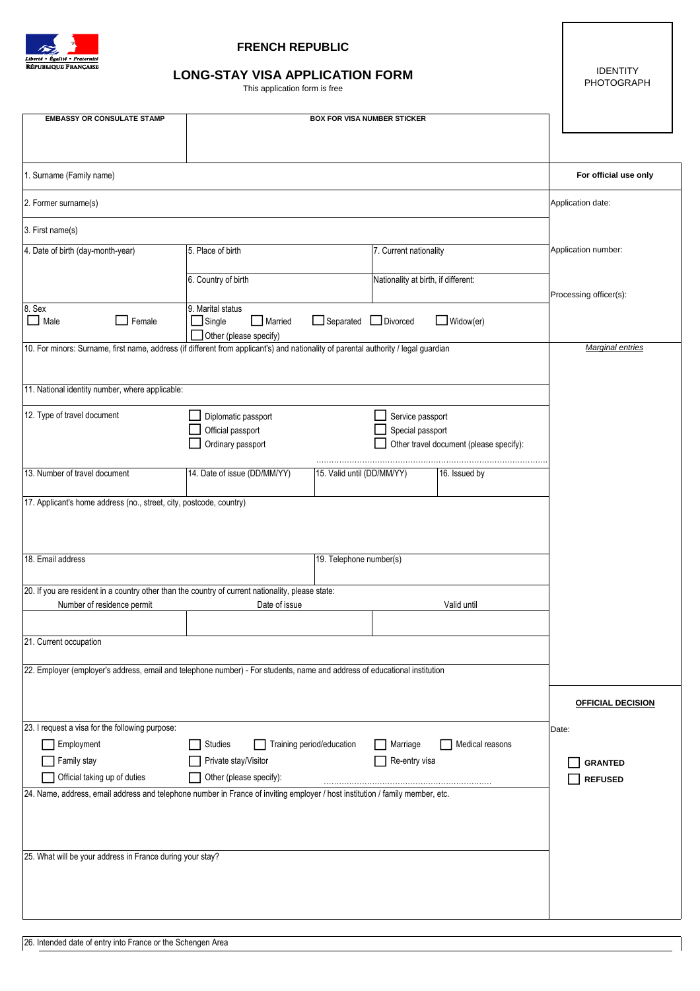

## **FRENCH REPUBLIC**

## **[LONG-STAY VISA APPLICATION FORM](https://zavizoi.ru/vizy/v-monako.html)**

This application form is free

IDENTITY PHOTOGRAPH

 $\overline{\phantom{a}}$ 

| <b>EMBASSY OR CONSULATE STAMP</b>                                                                                                   | <b>BOX FOR VISA NUMBER STICKER</b>              |                            |                        |                                         |                                  |
|-------------------------------------------------------------------------------------------------------------------------------------|-------------------------------------------------|----------------------------|------------------------|-----------------------------------------|----------------------------------|
|                                                                                                                                     |                                                 |                            |                        |                                         |                                  |
|                                                                                                                                     |                                                 |                            |                        |                                         |                                  |
| 1. Surname (Family name)                                                                                                            |                                                 |                            |                        |                                         | For official use only            |
| 2. Former surname(s)                                                                                                                | Application date:                               |                            |                        |                                         |                                  |
| 3. First name(s)                                                                                                                    |                                                 |                            |                        |                                         |                                  |
| 4. Date of birth (day-month-year)                                                                                                   | 5. Place of birth                               |                            | 7. Current nationality |                                         | Application number:              |
|                                                                                                                                     | 6. Country of birth                             |                            |                        | Nationality at birth, if different:     |                                  |
|                                                                                                                                     |                                                 |                            |                        |                                         | Processing officer(s):           |
| 8. Sex<br>$\Box$ Male<br>Female                                                                                                     | 9. Marital status<br>$\Box$ Single<br>Married   | Separated Divorced         |                        | $\Box$ Widow(er)                        |                                  |
|                                                                                                                                     | Other (please specify)                          |                            |                        |                                         |                                  |
| 10. For minors: Surname, first name, address (if different from applicant's) and nationality of parental authority / legal guardian | <b>Marginal entries</b>                         |                            |                        |                                         |                                  |
|                                                                                                                                     |                                                 |                            |                        |                                         |                                  |
| 11. National identity number, where applicable:                                                                                     |                                                 |                            |                        |                                         |                                  |
| 12. Type of travel document                                                                                                         | Diplomatic passport                             |                            | Service passport       |                                         |                                  |
|                                                                                                                                     | Official passport<br>Ordinary passport          |                            | Special passport       | Other travel document (please specify): |                                  |
|                                                                                                                                     |                                                 |                            |                        |                                         |                                  |
| 13. Number of travel document                                                                                                       | 14. Date of issue (DD/MM/YY)                    | 15. Valid until (DD/MM/YY) |                        | 16. Issued by                           |                                  |
| 17. Applicant's home address (no., street, city, postcode, country)                                                                 |                                                 |                            |                        |                                         |                                  |
|                                                                                                                                     |                                                 |                            |                        |                                         |                                  |
|                                                                                                                                     |                                                 |                            |                        |                                         |                                  |
| 18. Email address                                                                                                                   |                                                 |                            |                        |                                         |                                  |
| 20. If you are resident in a country other than the country of current nationality, please state:                                   |                                                 |                            |                        |                                         |                                  |
| Number of residence permit                                                                                                          | Date of issue                                   |                            |                        | Valid until                             |                                  |
|                                                                                                                                     |                                                 |                            |                        |                                         |                                  |
| 21. Current occupation                                                                                                              |                                                 |                            |                        |                                         |                                  |
| 22. Employer (employer's address, email and telephone number) - For students, name and address of educational institution           |                                                 |                            |                        |                                         |                                  |
|                                                                                                                                     |                                                 |                            |                        |                                         |                                  |
|                                                                                                                                     |                                                 |                            |                        |                                         | <b>OFFICIAL DECISION</b>         |
| 23. I request a visa for the following purpose:                                                                                     |                                                 |                            |                        |                                         | Date:                            |
| Employment                                                                                                                          | Studies<br>Training period/education            |                            | Marriage               | Medical reasons                         |                                  |
| Family stay<br>Official taking up of duties                                                                                         | Private stay/Visitor<br>Other (please specify): |                            | Re-entry visa          |                                         | <b>GRANTED</b><br><b>REFUSED</b> |
| 24. Name, address, email address and telephone number in France of inviting employer / host institution / family member, etc.       |                                                 |                            |                        |                                         |                                  |
|                                                                                                                                     |                                                 |                            |                        |                                         |                                  |
|                                                                                                                                     |                                                 |                            |                        |                                         |                                  |
| 25. What will be your address in France during your stay?                                                                           |                                                 |                            |                        |                                         |                                  |
|                                                                                                                                     |                                                 |                            |                        |                                         |                                  |
|                                                                                                                                     |                                                 |                            |                        |                                         |                                  |
|                                                                                                                                     |                                                 |                            |                        |                                         |                                  |
|                                                                                                                                     |                                                 |                            |                        |                                         |                                  |

26. Intended date of entry into France or the Schengen Area